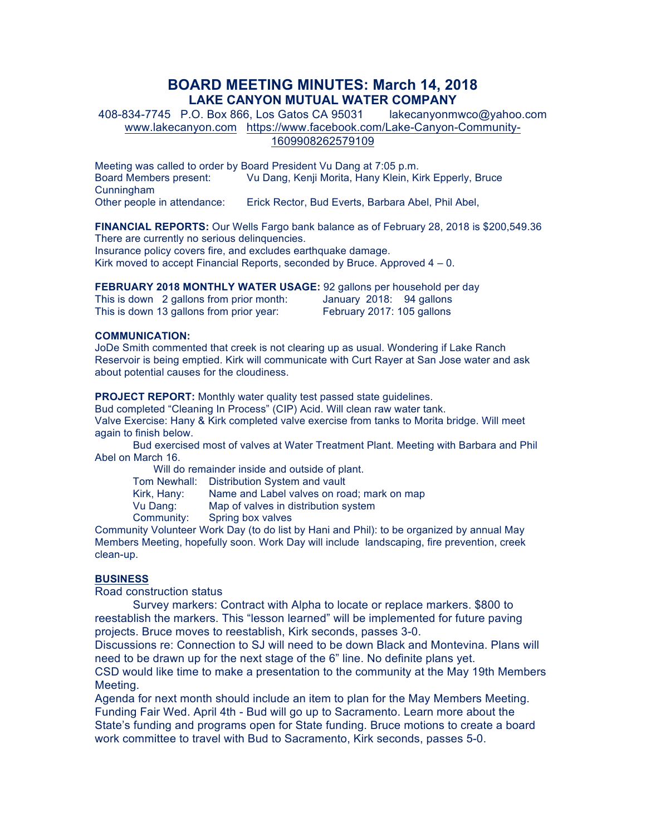## **BOARD MEETING MINUTES: March 14, 2018 LAKE CANYON MUTUAL WATER COMPANY**

408-834-7745 P.O. Box 866, Los Gatos CA 95031 lakecanyonmwco@yahoo.com www.lakecanyon.com https://www.facebook.com/Lake-Canyon-Community-1609908262579109

Meeting was called to order by Board President Vu Dang at 7:05 p.m. Board Members present: Vu Dang, Kenji Morita, Hany Klein, Kirk Epperly, Bruce Cunningham Other people in attendance: Erick Rector, Bud Everts, Barbara Abel, Phil Abel,

**FINANCIAL REPORTS:** Our Wells Fargo bank balance as of February 28, 2018 is \$200,549.36 There are currently no serious delinquencies. Insurance policy covers fire, and excludes earthquake damage. Kirk moved to accept Financial Reports, seconded by Bruce. Approved  $4 - 0$ .

**FEBRUARY 2018 MONTHLY WATER USAGE:** 92 gallons per household per day

This is down 2 gallons from prior month: January 2018: 94 gallons This is down 13 gallons from prior year: February 2017: 105 gallons

## **COMMUNICATION:**

JoDe Smith commented that creek is not clearing up as usual. Wondering if Lake Ranch Reservoir is being emptied. Kirk will communicate with Curt Rayer at San Jose water and ask about potential causes for the cloudiness.

**PROJECT REPORT:** Monthly water quality test passed state guidelines.

Bud completed "Cleaning In Process" (CIP) Acid. Will clean raw water tank. Valve Exercise: Hany & Kirk completed valve exercise from tanks to Morita bridge. Will meet again to finish below.

Bud exercised most of valves at Water Treatment Plant. Meeting with Barbara and Phil Abel on March 16.

Will do remainder inside and outside of plant.

Tom Newhall: Distribution System and vault Kirk, Hany: Name and Label valves on road; mark on map

Vu Dang: Map of valves in distribution system

Community: Spring box valves

Community Volunteer Work Day (to do list by Hani and Phil): to be organized by annual May Members Meeting, hopefully soon. Work Day will include landscaping, fire prevention, creek clean-up.

## **BUSINESS**

Road construction status

Survey markers: Contract with Alpha to locate or replace markers. \$800 to reestablish the markers. This "lesson learned" will be implemented for future paving projects. Bruce moves to reestablish, Kirk seconds, passes 3-0.

Discussions re: Connection to SJ will need to be down Black and Montevina. Plans will need to be drawn up for the next stage of the 6" line. No definite plans yet.

CSD would like time to make a presentation to the community at the May 19th Members Meeting.

Agenda for next month should include an item to plan for the May Members Meeting. Funding Fair Wed. April 4th - Bud will go up to Sacramento. Learn more about the State's funding and programs open for State funding. Bruce motions to create a board work committee to travel with Bud to Sacramento, Kirk seconds, passes 5-0.